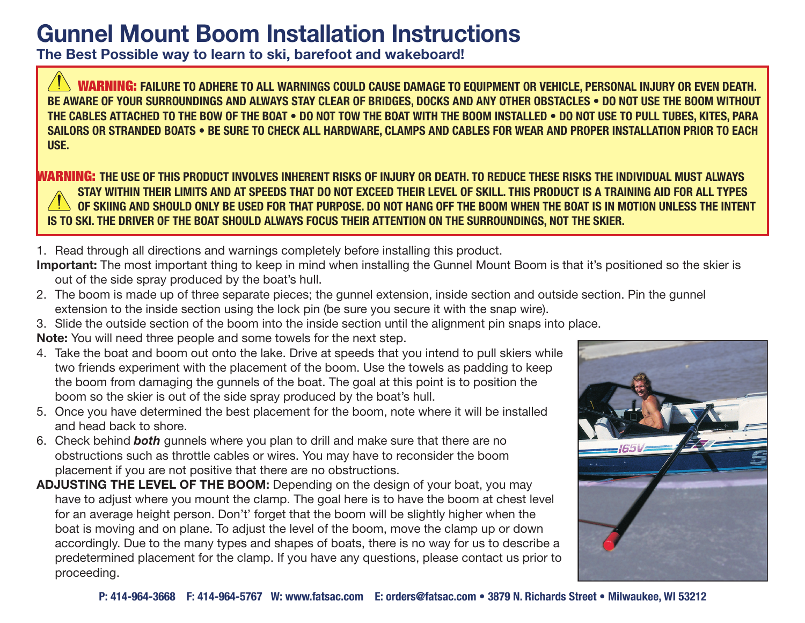## **Gunnel Mount Boom Installation Instructions**

**The Best Possible way to learn to ski, barefoot and wakeboard!**

**WARNING:** FAILURE TO ADHERE TO ALL WARNINGS COULD CAUSE DAMAGE TO EQUIPMENT OR VEHICLE, PERSONAL INJURY OR EVEN DEATH. BE AWARE OF YOUR SURROUNDINGS AND ALWAYS STAY CLEAR OF BRIDGES, DOCKS AND ANY OTHER OBSTACLES . DO NOT USE THE BOOM WITHOUT THE CABLES ATTACHED TO THE BOW OF THE BOAT . DO NOT TOW THE BOAT WITH THE BOOM INSTALLED . DO NOT USE TO PULL TUBES, KITES, PARA **SAILORS OR STRANDED BOATS . BE SURE TO CHECK ALL HARDWARE, CLAMPS AND CABLES FOR WEAR AND PROPER INSTALLATION PRIOR TO EACH USE.** 

**WARNING:** THE USE OF THIS PRODUCT INVOLVES INHERENT RISKS OF INJURY OR DEATH. TO REDUCE THESE RISKS THE INDIVIDUAL MUST ALWAYS STAY WITHIN THEIR LIMITS AND AT SPEEDS THAT DO NOT EXCEED THEIR LEVEL OF SKILL. THIS PRODUCT IS A TRAINING AID FOR ALL TYPES OF SKIING AND SHOULD ONLY BE USED FOR THAT PURPOSE. DO NOT HANG OFF THE BOOM WHEN THE BOAT IS IN MOTION UNLESS THE INTENT **IS TO SKI. THE DRIVER OF THE BOAT SHOULD ALWAYS FOCUS THEIR ATTENTION ON THE SURROUNDINGS, NOT THE SKIER.** 

1. Read through all directions and warnings completely before installing this product.

- **Important:** The most important thing to keep in mind when installing the Gunnel Mount Boom is that it's positioned so the skier is out of the side spray produced by the boat's hull.
- 2. The boom is made up of three separate pieces; the gunnel extension, inside section and outside section. Pin the gunnel extension to the inside section using the lock pin (be sure you secure it with the snap wire).
- 3. Slide the outside section of the boom into the inside section until the alignment pin snaps into place.

**Note:** You will need three people and some towels for the next step.

- 4. Take the boat and boom out onto the lake. Drive at speeds that you intend to pull skiers while two friends experiment with the placement of the boom. Use the towels as padding to keep the boom from damaging the gunnels of the boat. The goal at this point is to position the boom so the skier is out of the side spray produced by the boat's hull.
- 5. Once you have determined the best placement for the boom, note where it will be installed and head back to shore.
- 6. Check behind *both* gunnels where you plan to drill and make sure that there are no obstructions such as throttle cables or wires. You may have to reconsider the boom placement if you are not positive that there are no obstructions.
- **ADJUSTING THE LEVEL OF THE BOOM:** Depending on the design of your boat, you may have to adjust where you mount the clamp. The goal here is to have the boom at chest level for an average height person. Don't' forget that the boom will be slightly higher when the boat is moving and on plane. To adjust the level of the boom, move the clamp up or down accordingly. Due to the many types and shapes of boats, there is no way for us to describe a predetermined placement for the clamp. If you have any questions, please contact us prior to proceeding.